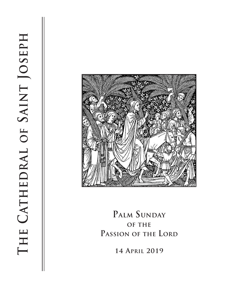

# **Palm Sunday of the Passion of the Lord**

**14 April 2019**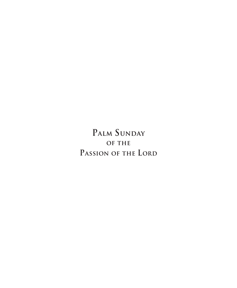**Palm Sunday of the Passion of the Lord**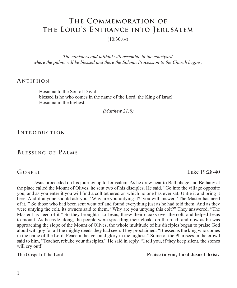# **The Commemoration of the Lord's Entrance into Jerusalem**

 $(10:30 \text{ AM})$ 

*The ministers and faithful will assemble in the courtyard where the palms will be blessed and there the Solemn Procession to the Church begins.*

#### **A ntiphon**

Hosanna to the Son of David; blessed is he who comes in the name of the Lord, the King of Israel. Hosanna in the highest.

 *(Matthew 21:9)* 

**I ntroduction**

### **Blessing of Palms**

**Gospel** Luke 19:28-40

Jesus proceeded on his journey up to Jerusalem. As he drew near to Bethphage and Bethany at the place called the Mount of Olives, he sent two of his disciples. He said, "Go into the village opposite you, and as you enter it you will find a colt tethered on which no one has ever sat. Untie it and bring it here. And if anyone should ask you, 'Why are you untying it?' you will answer, 'The Master has need of it.'" So those who had been sent went off and found everything just as he had told them. And as they were untying the colt, its owners said to them, "Why are you untying this colt?" They answered, "The Master has need of it." So they brought it to Jesus, threw their cloaks over the colt, and helped Jesus to mount. As he rode along, the people were spreading their cloaks on the road; and now as he was approaching the slope of the Mount of Olives, the whole multitude of his disciples began to praise God aloud with joy for all the mighty deeds they had seen. They proclaimed: "Blessed is the king who comes in the name of the Lord. Peace in heaven and glory in the highest." Some of the Pharisees in the crowd said to him, "Teacher, rebuke your disciples." He said in reply, "I tell you, if they keep silent, the stones will cry out!"

The Gospel of the Lord. **Praise to you, Lord Jesus Christ.**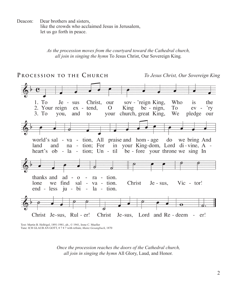Deacon: Dear brothers and sisters. like the crowds who acclaimed Jesus in Jerusalem, let us go forth in peace.

*As the procession moves from the courtyard toward the Cathedral church, all join in singing the hymn* To Jesus Christ, Our Sovereign King*.*



Text: Martin B. Hellrigel, 1891-1981, alt., © 1941, Irene C. Mueller Tune: ICH GLAUB AN GOTT, 8 7 8 7 with refrain; *Mainz Gesangbuch*, 1870

*Once the procession reaches the doors of the Cathedral church, all join in singing the hymn* All Glory, Laud, and Honor*.*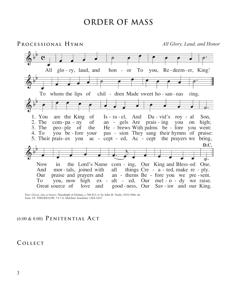# **ORDER OF MASS**

**Processional Hymn** *All Glory, Laud, and Honor*



Text: *Gloria, laus et honor*; Theodulph of Orelans, c.760-821; tr. by John M. Neale, 1818-1866, alt. Tune: ST. THEODULPH, 7 6 7 6; Melchior Teschiner, 1584-1635

### (6:00 & 8:00) **Penitential A ct**

# **C ollect**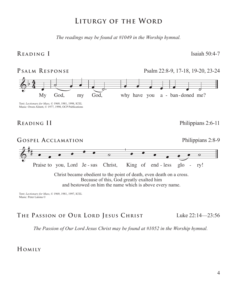# **Liturgy of the Word**

*The readings may be found at #1049 in the Worship hymnal.*

# **Reading I** Isaiah 50:4-7



# **The Passion of Our Lord Jesus Christ** Luke 22:14—23:56

*The Passion of Our Lord Jesus Christ may be found at #1052 in the Worship hymnal.*

**Homily**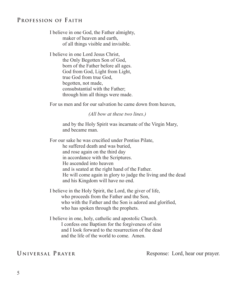# **Profession of Faith**

I believe in one God, the Father almighty, maker of heaven and earth, of all things visible and invisible.

I believe in one Lord Jesus Christ, the Only Begotten Son of God, born of the Father before all ages. God from God, Light from Light, true God from true God, begotten, not made, consubstantial with the Father; through him all things were made.

For us men and for our salvation he came down from heaven,

 *(All bow at these two lines.)*

and by the Holy Spirit was incarnate of the Virgin Mary, and became man.

For our sake he was crucified under Pontius Pilate, he suffered death and was buried, and rose again on the third day in accordance with the Scriptures. He ascended into heaven and is seated at the right hand of the Father. He will come again in glory to judge the living and the dead and his Kingdom will have no end.

I believe in the Holy Spirit, the Lord, the giver of life, who proceeds from the Father and the Son, who with the Father and the Son is adored and glorified, who has spoken through the prophets.

I believe in one, holy, catholic and apostolic Church. I confess one Baptism for the forgiveness of sins and I look forward to the resurrection of the dead and the life of the world to come. Amen.

UNIVERSAL PRAYER Response: Lord, hear our prayer.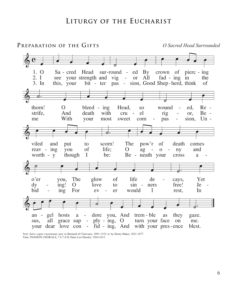# **Liturgy of the Eucharist**



Text: *Salve caput cruentatum*; ascr. to Bernard of Clairvaux, 1091-1153; tr. by Henry Baker, 1821-1877 Tune: PASSION CHORALE, 7 6 7 6 D; Hans Leo Hassler, 1564-1612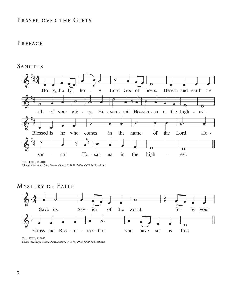# **Prayer over the Gifts**

# **Preface**

### **Sanctus**



Text: ICEL, © 2010 Music: *Heritage Mass,* Owen Alstott, © 1978, 2009, OCP Publications

# **Mystery of F aith**



Text: ICEL, © 2010

Music: *Heritage Mass,* Owen Alstott, © 1978, 2009, OCP Publications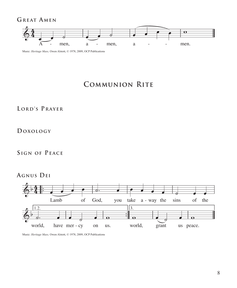GREAT AMEN



Music: *Heritage Mass,* Owen Alstott, © 1978, 2009, OCP Publications

# **Communion Rite**

# **L ord's Prayer**

# **Doxology**

# **Sign of Peace**

# **Agnus Dei**



Music: *Heritage Mass,* Owen Alstott, © 1978, 2009, OCP Publications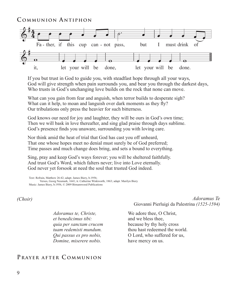### **C ommunion A ntiphon**



If you but trust in God to guide you, with steadfast hope through all your ways, God will give strength when pain surrounds you, and bear you through the darkest days, Who trusts in God's unchanging love builds on the rock that none can move.

What can you gain from fear and anguish, when terror builds to desperate sigh? What can it help, to moan and languish over dark moments as they fly? Our tribulations only press the heavier for such bitterness.

God knows our need for joy and laughter, they will be ours in God's own time; Then we will bask in love thereafter, and sing glad praise through days sublime. God's presence finds you unaware, surrounding you with loving care.

Nor think amid the heat of trial that God has cast you off unheard, That one whose hopes meet no denial must surely be of God preferred; Time passes and much change does bring, and sets a bound to everything.

Sing, pray and keep God's ways forever; you will be sheltered faithfully. And trust God's Word, which falters never; live into Love eternally. God never yet forsook at need the soul that trusted God indeed.

Text: Refrain, Matthew 26:42; adapt. James Biery, b.1956; Verses, Georg Neumark, 1641; tr. Catherine Winkworth, 1863; adapt. Marilyn Biery Music: James Biery, b.1956, © 2009 Birnamwood Publications

#### *(Choir)*

*Adoramus te, Christe, et benedicimus tibi: quia per sanctam crucem tuam redemisti mundum. Qui passus es pro nobis, Domine, miserere nobis.*

# PRAYER AFTER COMMUNION

*Adoramus Te* Giovanni Pierluigi da Palestrina *(1525-1594)*

We adore thee, O Christ, and we bless thee, because by thy holy cross thou hast redeemed the world. O Lord, who suffered for us, have mercy on us.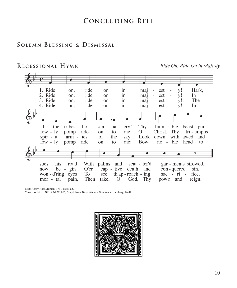# **Concluding Rite**

### **S olemn Blessing & Dismissal**

### **Recessional Hymn** *Ride On, Ride On in Majesty*



Text: Henry Hart Milman, 1791-1868, alt.

Music: WINCHESTER NEW, LM; Adapt. from *Musikalisches Handbuch*, Hamburg, 1690

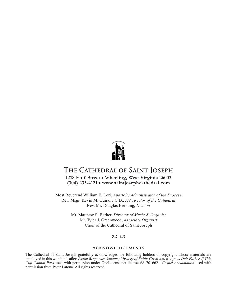

# **The Cathedral of Saint Joseph**

**1218 Eoff Street • Wheeling, West Virginia 26003 (304) 233-4121 • www.saintjosephcathedral.com**

Most Reverend William E. Lori, *Apostolic Administrator of the Diocese* Rev. Msgr. Kevin M. Quirk, J.C.D., J.V., *Rector of the Cathedral* Rev. Mr. Douglas Breiding, *Deacon*

> Mr. Matthew S. Berher, *Director of Music & Organist* Mr. Tyler J. Greenwood, *Associate Organist* Choir of the Cathedral of Saint Joseph

#### 80 CB

#### **Acknowledgements**

The Cathedral of Saint Joseph gratefully acknowledges the following holders of copyright whose materials are employed in this worship leaflet: *Psalm Response; Sanctus; Mystery of Faith; Great Amen; Agnus Dei; Father, If This Cup Cannot Pass* used with permission under OneLicense.net license #A-701662. *Gospel Acclamation* used with permission from Peter Latona. All rights reserved.